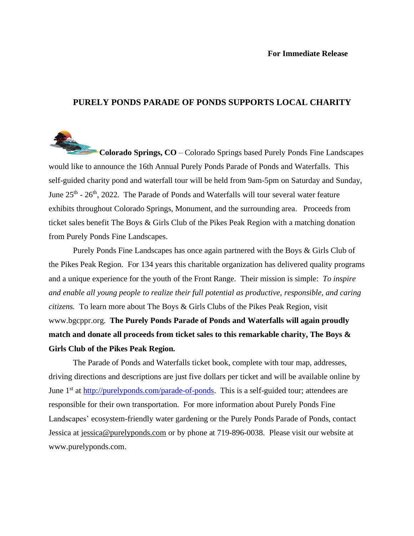## **PURELY PONDS PARADE OF PONDS SUPPORTS LOCAL CHARITY**

**Colorado Springs, CO** – Colorado Springs based Purely Ponds Fine Landscapes would like to announce the 16th Annual Purely Ponds Parade of Ponds and Waterfalls. This self-guided charity pond and waterfall tour will be held from 9am-5pm on Saturday and Sunday, June 25<sup>th</sup> - 26<sup>th</sup>, 2022. The Parade of Ponds and Waterfalls will tour several water feature exhibits throughout Colorado Springs, Monument, and the surrounding area. Proceeds from ticket sales benefit The Boys & Girls Club of the Pikes Peak Region with a matching donation from Purely Ponds Fine Landscapes.

Purely Ponds Fine Landscapes has once again partnered with the Boys & Girls Club of the Pikes Peak Region. For 134 years this charitable organization has delivered quality programs and a unique experience for the youth of the Front Range. Their mission is simple: *To inspire and enable all young people to realize their full potential as productive, responsible, and caring citizens.* To learn more about The Boys & Girls Clubs of the Pikes Peak Region, visit [www.bgcppr.org.](http://www.bgcppr.org/) **The Purely Ponds Parade of Ponds and Waterfalls will again proudly match and donate all proceeds from ticket sales to this remarkable charity, The Boys & Girls Club of the Pikes Peak Region.** 

The Parade of Ponds and Waterfalls ticket book, complete with tour map, addresses, driving directions and descriptions are just five dollars per ticket and will be available online by June 1<sup>st</sup> at [http://purelyponds.com/parade-of-ponds.](http://purelyponds.com/parade-of-ponds) This is a self-guided tour; attendees are responsible for their own transportation. For more information about Purely Ponds Fine Landscapes' ecosystem-friendly water gardening or the Purely Ponds Parade of Ponds, contact Jessica at jessica@purelyponds.com or by phone at 719-896-0038. Please visit our website at [www.purelyponds.com.](http://www.purelyponds.com/)